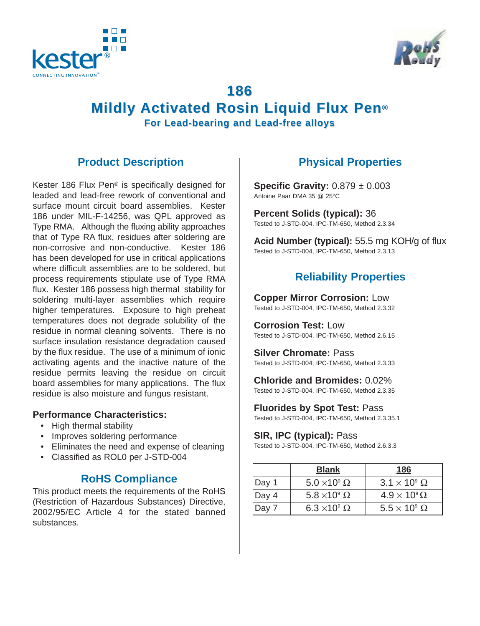



# **186 Mildly Activated Rosin Liquid Flux Pen® For Lead-bearing and Lead-free alloys For Lead-bearing and Lead-free alloys**

## **Product Description**

Kester 186 Flux Pen® is specifically designed for leaded and lead-free rework of conventional and surface mount circuit board assemblies. Kester 186 under MIL-F-14256, was QPL approved as Type RMA. Although the fluxing ability approaches that of Type RA flux, residues after soldering are non-corrosive and non-conductive. Kester 186 has been developed for use in critical applications where difficult assemblies are to be soldered, but process requirements stipulate use of Type RMA flux. Kester 186 possess high thermal stability for soldering multi-layer assemblies which require higher temperatures. Exposure to high preheat temperatures does not degrade solubility of the residue in normal cleaning solvents. There is no surface insulation resistance degradation caused by the flux residue. The use of a minimum of ionic activating agents and the inactive nature of the residue permits leaving the residue on circuit board assemblies for many applications. The flux residue is also moisture and fungus resistant.

### **Performance Characteristics:**

- High thermal stability
- Improves soldering performance
- Eliminates the need and expense of cleaning
- Classified as ROL0 per J-STD-004

### **RoHS Compliance**

This product meets the requirements of the RoHS (Restriction of Hazardous Substances) Directive, 2002/95/EC Article 4 for the stated banned substances.

## **Physical Properties**

**Specific Gravity:**  $0.879 \pm 0.003$ Antoine Paar DMA 35 @ 25°C

**Percent Solids (typical):** 36 Tested to J-STD-004, IPC-TM-650, Method 2.3.34

**Acid Number (typical):** 55.5 mg KOH/g of flux Tested to J-STD-004, IPC-TM-650, Method 2.3.13

## **Reliability Properties**

**Copper Mirror Corrosion:** Low Tested to J-STD-004, IPC-TM-650, Method 2.3.32

**Corrosion Test:** Low Tested to J-STD-004, IPC-TM-650, Method 2.6.15

**Silver Chromate:** Pass Tested to J-STD-004, IPC-TM-650, Method 2.3.33

**Chloride and Bromides:** 0.02%

Tested to J-STD-004, IPC-TM-650, Method 2.3.35

**Fluorides by Spot Test:** Pass Tested to J-STD-004, IPC-TM-650, Method 2.3.35.1

### **SIR, IPC (typical):** Pass

Tested to J-STD-004, IPC-TM-650, Method 2.6.3.3

|               | <b>Blank</b>             | 186                      |
|---------------|--------------------------|--------------------------|
| $\vert$ Day 1 | $5.0 \times 10^9 \Omega$ | $3.1 \times 10^9 \Omega$ |
| $\vert$ Day 4 | $5.8 \times 10^9 \Omega$ | $4.9 \times 10^9 \Omega$ |
| $\vert$ Day 7 | $6.3 \times 10^9 \Omega$ | $5.5 \times 10^9 \Omega$ |